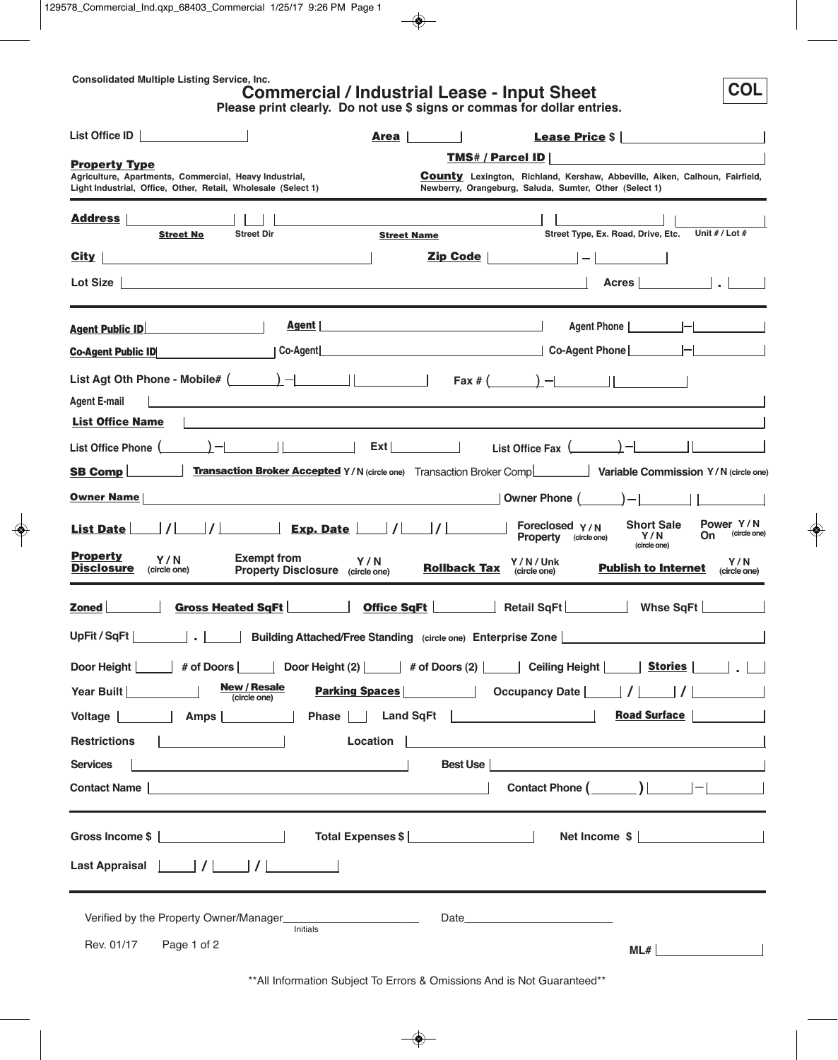**Consolidated Multiple Listing Service, Inc.**

# **Commercial / Industrial Lease - Input Sheet**

**Please print clearly. Do not use \$ signs or commas for dollar entries.**

**COL**

| List Office ID                                                                                                                                                                                                                                                                                                                                                                                                               | Area<br><b>Lease Price \$</b>                                                                                                                                                                                                     |
|------------------------------------------------------------------------------------------------------------------------------------------------------------------------------------------------------------------------------------------------------------------------------------------------------------------------------------------------------------------------------------------------------------------------------|-----------------------------------------------------------------------------------------------------------------------------------------------------------------------------------------------------------------------------------|
| <b>Property Type</b>                                                                                                                                                                                                                                                                                                                                                                                                         | <b>TMS# / Parcel ID</b>                                                                                                                                                                                                           |
| Agriculture, Apartments, Commercial, Heavy Industrial,<br>Light Industrial, Office, Other, Retail, Wholesale (Select 1)                                                                                                                                                                                                                                                                                                      | <b>County</b> Lexington, Richland, Kershaw, Abbeville, Aiken, Calhoun, Fairfield,<br>Newberry, Orangeburg, Saluda, Sumter, Other (Select 1)                                                                                       |
| <u> Address</u><br><b>Street Dir</b><br><b>Street No</b>                                                                                                                                                                                                                                                                                                                                                                     | Street Type, Ex. Road, Drive, Etc.<br>Unit # / Lot #<br><b>Street Name</b>                                                                                                                                                        |
| City                                                                                                                                                                                                                                                                                                                                                                                                                         | Zip Code                                                                                                                                                                                                                          |
| Lot Size                                                                                                                                                                                                                                                                                                                                                                                                                     | Acres                                                                                                                                                                                                                             |
| <b>Agent</b>  <br><b>Agent Public ID</b>                                                                                                                                                                                                                                                                                                                                                                                     | Agent Phone            <br><u> 1989 - Johann Barn, mars ann an t-Amhain Aonaich an t-Aonaich an t-Aonaich ann an t-Aonaich ann an t-Aonaich</u>                                                                                   |
| Co-Agent<br><b>Co-Agent Public ID</b>                                                                                                                                                                                                                                                                                                                                                                                        |                                                                                                                                                                                                                                   |
| List Agt Oth Phone - Mobile# $\begin{array}{ c c c c c }\n\hline\n&- &- &- \hline\n&- &- \hline\n&- &- \hline\n\end{array}$<br><b>Agent E-mail</b>                                                                                                                                                                                                                                                                           |                                                                                                                                                                                                                                   |
| <b>List Office Name</b>                                                                                                                                                                                                                                                                                                                                                                                                      |                                                                                                                                                                                                                                   |
| List Office Phone $\begin{array}{ c c c c c }\n\hline\n&- &- \quad\hline\n&\quad\hline\n&\quad\hline\n&\quad\hline\n&\quad\hline\n&\quad\hline\n&\quad\hline\n&\quad\hline\n&\quad\hline\n&\quad\hline\n&\quad\hline\n&\quad\hline\n&\quad\hline\n&\quad\hline\n&\quad\hline\n&\quad\hline\n&\quad\hline\n&\quad\hline\n&\quad\hline\n&\quad\hline\n&\quad\hline\n&\quad\hline\n&\quad\hline\n&\quad\hline\n&\quad\hline\n&$ | List Office Fax $(\_\_\_\_\)_\$                                                                                                                                                                                                   |
| SB Comp                                                                                                                                                                                                                                                                                                                                                                                                                      | Transaction Broker Accepted Y/N (circle one) Transaction Broker Comp<br>Variable Commission Y/N (circle one)                                                                                                                      |
| <b>Owner Name</b>                                                                                                                                                                                                                                                                                                                                                                                                            | $\vert$ Owner Phone $($ $\vert$ $)$ $ \vert$ $\vert$ $\vert$                                                                                                                                                                      |
| <b>List Date</b>                                                                                                                                                                                                                                                                                                                                                                                                             | Power Y/N<br><b>Short Sale</b><br>Foreclosed $Y/N$<br>(circle one)<br>On<br>Y/N<br><b>Property</b> (circle one)<br>(circle one)                                                                                                   |
| <b>Property</b><br><b>Exempt from</b><br>Y/N<br>Y/N<br><b>Disclosure</b><br>Property Disclosure (circle one)<br>(circle one)                                                                                                                                                                                                                                                                                                 | Y/N/Unk<br>Y/N<br><b>Rollback Tax</b><br><b>Publish to Internet</b><br>(circle one)<br>(circle one)                                                                                                                               |
| Zoned<br>Gross Heated SqFt                                                                                                                                                                                                                                                                                                                                                                                                   | <b>Office SqFt</b>   Retail SqFt   Whse SqFt   Misse SqFt   Netail SqFt   Netail SqFt   Netail SqFt   Netail SqFt   Netail SqFt   Netail SqFt   Netail SqLT   Netail SqLT   Netail SqLT   Netail SqLT   Netail SqLT   Netail SqLT |
| UpFit / SqFt  <br>$\sim$ 1                                                                                                                                                                                                                                                                                                                                                                                                   | Building Attached/Free Standing (circle one) Enterprise Zone                                                                                                                                                                      |
| Door Height   # of Doors   Door Height (2)   # of Doors (2)                                                                                                                                                                                                                                                                                                                                                                  | Ceiling Height  <br>Stories                                                                                                                                                                                                       |
| <b>New / Resale</b><br>Year Built  <br>(circle one)                                                                                                                                                                                                                                                                                                                                                                          | <b>Parking Spaces</b><br>Occupancy Date        <br>$\prime$<br><b>Contract Contract</b>                                                                                                                                           |
| Voltage     Amps                                                                                                                                                                                                                                                                                                                                                                                                             | <b>Road Surface</b>                                                                                                                                                                                                               |
| Location  <br><b>Restrictions</b>                                                                                                                                                                                                                                                                                                                                                                                            |                                                                                                                                                                                                                                   |
| <b>Services</b><br><u> 1989 - Johann Barbara, martxa eta politikar</u>                                                                                                                                                                                                                                                                                                                                                       | Best Use<br><u> 1980 - Johann Barbara, martin amerikan basal dan berasal dalam basal dalam basal dalam basal dalam basal dala</u>                                                                                                 |
| <b>Contact Name</b><br><u> 1989 - Johann Barn, fransk politik (f. 1989)</u>                                                                                                                                                                                                                                                                                                                                                  |                                                                                                                                                                                                                                   |
| Gross Income \$ 2000 Contract Contract Contract Contract Contract Contract Contract Contract Contract Contract Contract Contract Contract Contract Contract Contract Contract Contract Contract Contract Contract Contract Cont                                                                                                                                                                                              | Net Income \$                                                                                                                                                                                                                     |
| Last Appraisal                                                                                                                                                                                                                                                                                                                                                                                                               |                                                                                                                                                                                                                                   |
|                                                                                                                                                                                                                                                                                                                                                                                                                              |                                                                                                                                                                                                                                   |
| Initials<br>Rev. 01/17<br>Page 1 of 2                                                                                                                                                                                                                                                                                                                                                                                        | ML#                                                                                                                                                                                                                               |
|                                                                                                                                                                                                                                                                                                                                                                                                                              |                                                                                                                                                                                                                                   |